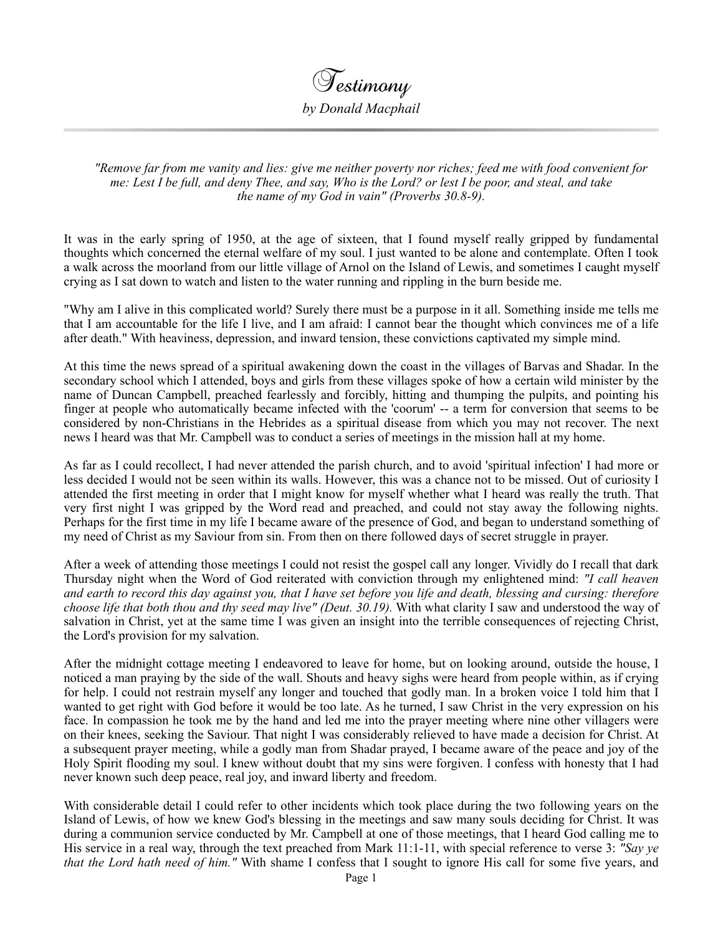

 *"Remove far from me vanity and lies: give me neither poverty nor riches; feed me with food convenient for me: Lest I be full, and deny Thee, and say, Who is the Lord? or lest I be poor, and steal, and take the name of my God in vain" (Proverbs 30.8-9).*

It was in the early spring of 1950, at the age of sixteen, that I found myself really gripped by fundamental thoughts which concerned the eternal welfare of my soul. I just wanted to be alone and contemplate. Often I took a walk across the moorland from our little village of Arnol on the Island of Lewis, and sometimes I caught myself crying as I sat down to watch and listen to the water running and rippling in the burn beside me.

"Why am I alive in this complicated world? Surely there must be a purpose in it all. Something inside me tells me that I am accountable for the life I live, and I am afraid: I cannot bear the thought which convinces me of a life after death." With heaviness, depression, and inward tension, these convictions captivated my simple mind.

At this time the news spread of a spiritual awakening down the coast in the villages of Barvas and Shadar. In the secondary school which I attended, boys and girls from these villages spoke of how a certain wild minister by the name of Duncan Campbell, preached fearlessly and forcibly, hitting and thumping the pulpits, and pointing his finger at people who automatically became infected with the 'coorum' -- a term for conversion that seems to be considered by non-Christians in the Hebrides as a spiritual disease from which you may not recover. The next news I heard was that Mr. Campbell was to conduct a series of meetings in the mission hall at my home.

As far as I could recollect, I had never attended the parish church, and to avoid 'spiritual infection' I had more or less decided I would not be seen within its walls. However, this was a chance not to be missed. Out of curiosity I attended the first meeting in order that I might know for myself whether what I heard was really the truth. That very first night I was gripped by the Word read and preached, and could not stay away the following nights. Perhaps for the first time in my life I became aware of the presence of God, and began to understand something of my need of Christ as my Saviour from sin. From then on there followed days of secret struggle in prayer.

After a week of attending those meetings I could not resist the gospel call any longer. Vividly do I recall that dark Thursday night when the Word of God reiterated with conviction through my enlightened mind: *"I call heaven and earth to record this day against you, that I have set before you life and death, blessing and cursing: therefore choose life that both thou and thy seed may live" (Deut. 30.19).* With what clarity I saw and understood the way of salvation in Christ, yet at the same time I was given an insight into the terrible consequences of rejecting Christ, the Lord's provision for my salvation.

After the midnight cottage meeting I endeavored to leave for home, but on looking around, outside the house, I noticed a man praying by the side of the wall. Shouts and heavy sighs were heard from people within, as if crying for help. I could not restrain myself any longer and touched that godly man. In a broken voice I told him that I wanted to get right with God before it would be too late. As he turned, I saw Christ in the very expression on his face. In compassion he took me by the hand and led me into the prayer meeting where nine other villagers were on their knees, seeking the Saviour. That night I was considerably relieved to have made a decision for Christ. At a subsequent prayer meeting, while a godly man from Shadar prayed, I became aware of the peace and joy of the Holy Spirit flooding my soul. I knew without doubt that my sins were forgiven. I confess with honesty that I had never known such deep peace, real joy, and inward liberty and freedom.

With considerable detail I could refer to other incidents which took place during the two following years on the Island of Lewis, of how we knew God's blessing in the meetings and saw many souls deciding for Christ. It was during a communion service conducted by Mr. Campbell at one of those meetings, that I heard God calling me to His service in a real way, through the text preached from Mark 11:1-11, with special reference to verse 3: *"Say ye that the Lord hath need of him."* With shame I confess that I sought to ignore His call for some five years, and